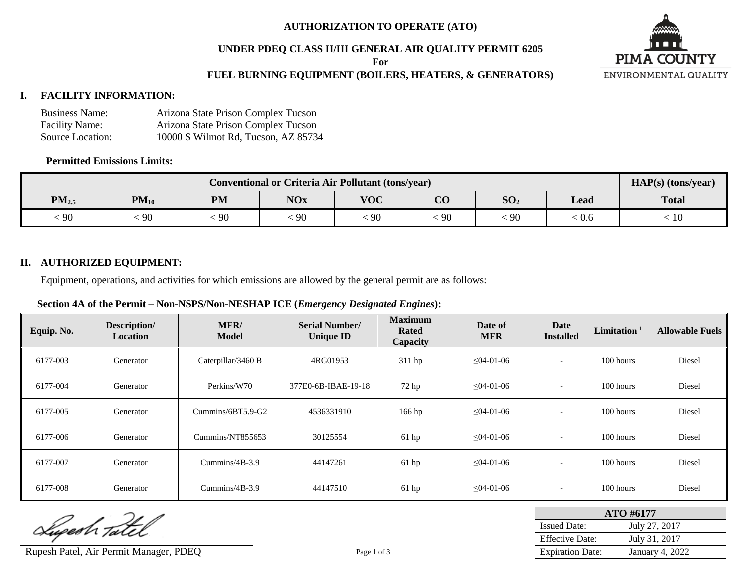#### **AUTHORIZATION TO OPERATE (ATO)**

#### **UNDER PDEQ CLASS II/III GENERAL AIR QUALITY PERMIT 6205**

**For**

## **FUEL BURNING EQUIPMENT (BOILERS, HEATERS, & GENERATORS)**

## **I. FACILITY INFORMATION:**

| <b>Business Name:</b> | Arizona State Prison Complex Tucson |
|-----------------------|-------------------------------------|
| <b>Facility Name:</b> | Arizona State Prison Complex Tucson |
| Source Location:      | 10000 S Wilmot Rd, Tucson, AZ 85734 |

## **Permitted Emissions Limits:**

| <b>Conventional or Criteria Air Pollutant (tons/year)</b> |           |           |            |            |                        |                 |      | $HAP(s)$ (tons/year) |
|-----------------------------------------------------------|-----------|-----------|------------|------------|------------------------|-----------------|------|----------------------|
| $PM_{2.5}$                                                | $PM_{10}$ | <b>PM</b> | <b>NOx</b> | <b>VOC</b> | $\overline{\text{CO}}$ | SO <sub>2</sub> | Lead | <b>Total</b>         |
| 90                                                        | 90        | -90       | 90         | 90         | -90                    | $\sim$<br>-90   | 0.6  | 10                   |

## **II. AUTHORIZED EQUIPMENT:**

Equipment, operations, and activities for which emissions are allowed by the general permit are as follows:

#### **Section 4A of the Permit – Non-NSPS/Non-NESHAP ICE (***Emergency Designated Engines***):**

| Equip. No. | Description/<br><b>Location</b> | MFR/<br><b>Model</b> | <b>Serial Number/</b><br><b>Unique ID</b> | <b>Maximum</b><br>Rated<br>Capacity | Date of<br><b>MFR</b> | Date<br><b>Installed</b> | Limitation $1$ | <b>Allowable Fuels</b> |
|------------|---------------------------------|----------------------|-------------------------------------------|-------------------------------------|-----------------------|--------------------------|----------------|------------------------|
| 6177-003   | Generator                       | Caterpillar/3460 B   | 4RG01953                                  | 311 hp                              | $\leq 04 - 01 - 06$   | $\overline{\phantom{a}}$ | 100 hours      | Diesel                 |
| 6177-004   | Generator                       | Perkins/W70          | 377E0-6B-IBAE-19-18                       | 72 <sub>hp</sub>                    | $\leq 04 - 01 - 06$   | $\overline{\phantom{a}}$ | 100 hours      | Diesel                 |
| 6177-005   | Generator                       | Cummins/6BT5.9-G2    | 4536331910                                | $166$ hp                            | $\leq 04 - 01 - 06$   |                          | 100 hours      | Diesel                 |
| 6177-006   | Generator                       | Cummins/NT855653     | 30125554                                  | $61$ hp                             | $\leq 04 - 01 - 06$   |                          | $100$ hours    | Diesel                 |
| 6177-007   | Generator                       | Cummins/ $4B-3.9$    | 44147261                                  | $61$ hp                             | $\leq 04 - 01 - 06$   |                          | 100 hours      | Diesel                 |
| 6177-008   | Generator                       | Cummins/ $4B-3.9$    | 44147510                                  | $61$ hp                             | $\leq 04 - 01 - 06$   | $\overline{\phantom{a}}$ | $100$ hours    | Diesel                 |

Superh Tatel

Rupesh Patel, Air Permit Manager, PDEQ Page 1 of 3 Expiration Date: January 4, 2022

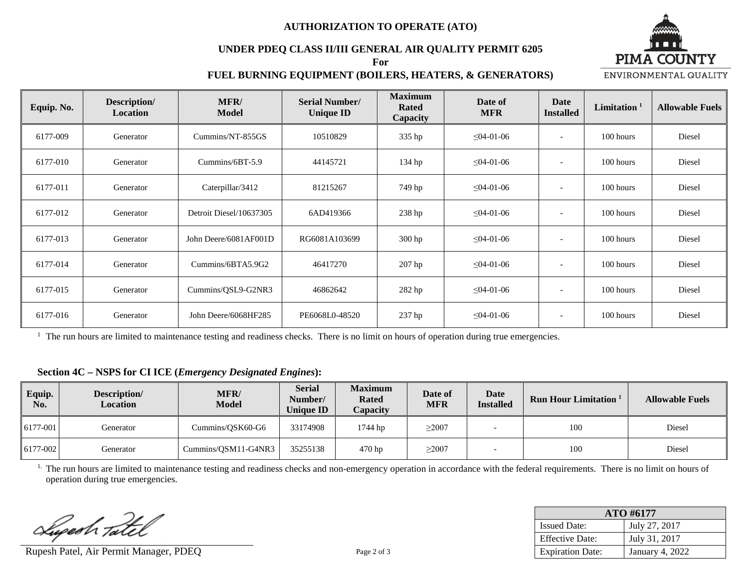#### **AUTHORIZATION TO OPERATE (ATO)**

#### **UNDER PDEQ CLASS II/III GENERAL AIR QUALITY PERMIT 6205 For**



## **FUEL BURNING EQUIPMENT (BOILERS, HEATERS, & GENERATORS)**

| Equip. No. | Description/<br>Location | <b>MFR/</b><br><b>Model</b> | <b>Serial Number/</b><br><b>Unique ID</b> | <b>Maximum</b><br>Rated<br>Capacity | Date of<br><b>MFR</b> | <b>Date</b><br><b>Installed</b> | Limitation $1$ | <b>Allowable Fuels</b> |
|------------|--------------------------|-----------------------------|-------------------------------------------|-------------------------------------|-----------------------|---------------------------------|----------------|------------------------|
| 6177-009   | Generator                | Cummins/NT-855GS            | 10510829                                  | 335 hp                              | $\leq 04 - 01 - 06$   | $\overline{\phantom{a}}$        | 100 hours      | Diesel                 |
| 6177-010   | Generator                | Cummins/6BT-5.9             | 44145721                                  | 134 hp                              | $\leq 04 - 01 - 06$   | $\overline{\phantom{a}}$        | 100 hours      | Diesel                 |
| 6177-011   | Generator                | Caterpillar/3412            | 81215267                                  | 749 hp                              | $\leq 04 - 01 - 06$   | $\overline{\phantom{a}}$        | 100 hours      | Diesel                 |
| 6177-012   | Generator                | Detroit Diesel/10637305     | 6AD419366                                 | 238 hp                              | $\leq 04 - 01 - 06$   | $\overline{\phantom{a}}$        | 100 hours      | Diesel                 |
| 6177-013   | Generator                | John Deere/6081AF001D       | RG6081A103699                             | $300$ hp                            | $\leq 04 - 01 - 06$   | $\overline{\phantom{a}}$        | 100 hours      | Diesel                 |
| 6177-014   | Generator                | Cummins/6BTA5.9G2           | 46417270                                  | $207$ hp                            | $\leq 04 - 01 - 06$   | $\overline{\phantom{a}}$        | 100 hours      | Diesel                 |
| 6177-015   | Generator                | Cummins/QSL9-G2NR3          | 46862642                                  | 282 hp                              | $\leq$ 04-01-06       | $\overline{\phantom{a}}$        | 100 hours      | Diesel                 |
| 6177-016   | Generator                | John Deere/6068HF285        | PE6068L0-48520                            | 237 hp                              | $\leq 04 - 01 - 06$   | $\overline{\phantom{a}}$        | 100 hours      | Diesel                 |

 $<sup>1</sup>$  The run hours are limited to maintenance testing and readiness checks. There is no limit on hours of operation during true emergencies.</sup>

## **Section 4C – NSPS for CI ICE (***Emergency Designated Engines***):**

| Equip.<br>No. | Description/<br>Location | MFR/<br><b>Model</b> | <b>Serial</b><br><b>Number/</b><br><b>Unique ID</b> | <b>Maximum</b><br><b>Rated</b><br>Capacity | Date of<br><b>MFR</b> | <b>Date</b><br><b>Installed</b> | <b>Run Hour Limitation</b> <sup>1</sup> | <b>Allowable Fuels</b> |
|---------------|--------------------------|----------------------|-----------------------------------------------------|--------------------------------------------|-----------------------|---------------------------------|-----------------------------------------|------------------------|
| $6177 - 001$  | Generator                | Cummins/OSK60-G6     | 33174908                                            | 1744 hp                                    | >2007                 |                                 | 100                                     | Diesel                 |
| 6177-002      | Generator                | Cummins/OSM11-G4NR3  | 35255138                                            | 470 hp                                     | $\geq$ 2007           |                                 | 100                                     | Diesel                 |

<sup>1.</sup> The run hours are limited to maintenance testing and readiness checks and non-emergency operation in accordance with the federal requirements. There is no limit on hours of operation during true emergencies.

Superh Tatel

Rupesh Patel, Air Permit Manager, PDEQ Page 2 of 3

| ATO #6177               |                        |  |  |  |  |
|-------------------------|------------------------|--|--|--|--|
| <b>Issued Date:</b>     | July 27, 2017          |  |  |  |  |
| <b>Effective Date:</b>  | July 31, 2017          |  |  |  |  |
| <b>Expiration Date:</b> | <b>January 4, 2022</b> |  |  |  |  |